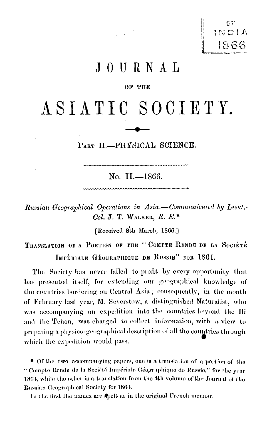$C \subset \mathbb{R}$ INDIA 1866

## JOURNAL

#### OF THE

# ASIATIC SOCIETY.

PART II.-PHYSICAL SCIENCE.

No. II.-1866.

Russian Geographical Operations in Asia.-Communicated by Lieut.-Col. J. T. WALKER,  $R. E^*$ 

[Received 8th March, 1866.]

TRANSLATION OF A PORTION OF THE "COMPTE RENDU DE LA SOCIÉTÉ IMPÉRIALE GÉOGRAPHIQUE DE RUSSIE" FOR 1864.

The Society has never failed to profit by every opportunity that has presented itself, for extending our geographical knowledge of the countries bordering on Central Asia; consequently, in the month of February last year, M. Severstow, a distinguished Naturalist, who was accompanying an expedition into the countries beyond the Ili and the Tchou, was charged to collect information, with a view to preparing a physico-geographical description of all the countries through which the expedition would pass.

\* Of the two accompanying papers, one is a translation of a portion of the "Compte Rendu de la Société Impériale Géographique de Russie," for the vear 1864, while the other is a translation from the 4th volume of the Journal of the Russian Geographical Society for 1864.

In the first the names are spelt as in the original French memoir.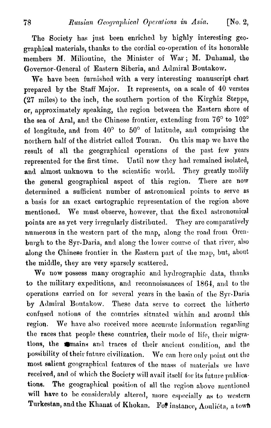The Society has just been enriched by highly interesting geographical materials, thanks to the cordial co-operation of its honorable members M. Milioutine, the Minister of War; M. Duhamal, tho Governor-General of Eastern Siberia, and Admiral Boutakow.

We have been furnished with a very interesting manuscript chart prepared by the Staff Major. It represents, on a scale of 40 verstes **(27** miles) to the inch, the southern portion of the Kirghiz Steppe, or, approximately speaking, the region between the Eastern shore of the sea of Aral, and the Chinese frontier, extending from  $76^{\circ}$  to  $102^{\circ}$ of longitude, and from **40°** to 50° of latitude, and comprising the northern half of the district callecl Touran. On this map we have the result of a11 the geographical operations of the past few years represented for the first time. Until now they had remained isolated, and almost unknown to the scientific world. They greatly modify the general geographical aspect of this region. There are now determined a sufficient number of astronomical points to serve as **n** basis for an exact cartographic representation of the region above mentioned. We must observe, however, that the fixed astronomical points are as yet very irregularly distributed. They are comparatively numerous in the western part of the map, along the road from Orenburgh to the Syr-Daria, and along the lower course of that river, also along the Chinese frontier in the Eastern part of the map, but, about the middle, they are very aparsely scattered.

We now possess many orographic and hydrographic data, thanks to the military expeditions, and reconnoissances of 1864, and to the operations carried on for several years in the basin of the Syr-Daria by Admiral Boutakow. These data serve to correct the hitherto confused notions of the countries situated within and around this region. We have also received more accurate information regarding the races that people these countries, their mode of life, their migrations, the mains and traces of their ancient condition, and the possibility of their future civilization. We can here only point out the most salient geographical features of the mass of materials we have received, and of which the Society will avail itself for its future publications. The geographical position of all the region above mentioned will have to be considerably altered, more especially as to western Turkestan, and the Khanat of Khokan. For instance, Aoulicta, a town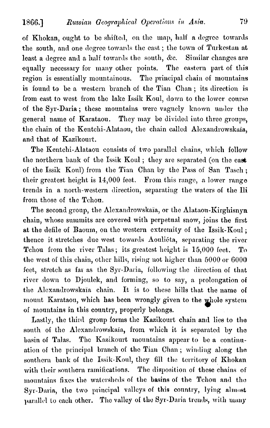of Khokan, ought to be shifted, on the map, half a degree towards the south, and one degree towards the east; the town of Turkestan at least a degree and a half towards the south, &c. Similar changes are equally necessary for many other points. The eastern part of this region is essentially mountainous. The principal chain of mountains is found to be a western branch of the Tian Chan; its direction is from east to west from the lake Issik Koul, down to the lower course of the Syr-Daria; these mountains were vaguely known under the general name of Karataou. They may be divided into three groups, the chain of the Kentchi-Alataou, the chain called Alexandrowskaïa, and that of Kazikourt.

The Kentchi-Alataou consists of two parallel chains, which follow the northern bank of the Issik Koul; they are separated (on the east of the Issik Koul) from the Tian Chan by the Pass of San Tasch; their greatest height is 14,000 feet. From this range, a lower range trends in a north-western direction, separating the waters of the Ili from those of the Tchou.

The second group, the Alexandrowskaïa, or the Alataou-Kirghisnyn chain, whose summits are covered with perpetual snow, joins the first at the defile of Baoum, on the western extremity of the Issik-Koul; thence it stretches due west towards Aouliéta, separating the river Tchou from the river Talas; its greatest height is 15,000 feet. To the west of this chain, other hills, rising not higher than 5000 or 6000 feet, stretch as far as the Syr-Daria, following the direction of that river down to Djoulek, and forming, so to say, a prolongation of the Alexandrowskaïa chain. It is to these hills that the name of mount Karataou, which has been wrongly given to the whole system of mountains in this country, properly belongs.

Lastly, the third group forms the Kazikourt chain and lies to the south of the Alexandrowskaia, from which it is separated by the basin of Talas. The Kazikourt mountains appear to be a continuation of the principal branch of the Tian Chan; winding along the southern bank of the Issik-Koul, they fill the territory of Khokan with their southern ramifications. The disposition of these chains of mountains fixes the watersheds of the basins of the Tchou and the Syr-Daria, the two principal valleys of this country, lying almost parallel to each other. The valley of the Syr-Daria trends, with many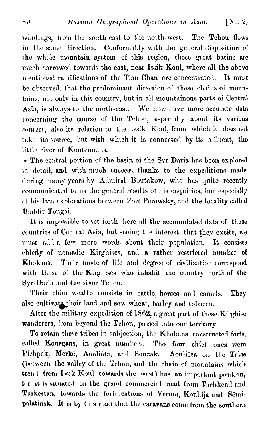windings, from the south-east to the north-west. The Tchou flows in the same direction. Conformably with the general disposition of the whole mountain system of this region, these great basins are much narrowed towards the east, near Issik Koul, where all the above mentioned ramifications of the Tian Chan are concentrated. It must be observed, that the predominant direction of these chains of mountains, not only in this country, but in all mountainous parts of Central Asia, is always to the north-east. We now have more accurate data concerning the course of the Tehou, especially about its various sources, also its relation to the Issik Koul, from which it does not take its source, but with which it is connected by its affluent, the little river of Kontemalda.

• The central portion of the basin of the Syr-Daria has been explored in detail, and with much success, thanks to the expeditions made during many years by Admiral Boutakow, who has quite recently communicated to us the general results of his enquiries, but especially of his late explorations between Fort Perowsky, and the locality called Baildir Tougai.

It is impossible to set forth here all the accumulated data of these countries of Central Asia, but seeing the interest that they excite, we must add a few more words about their population. It consists chiefly of nomadic Kirghises, and a rather restricted number of Their mode of life and degree of civilization correspond Khokans. with those of the Kirghises who inhabit the country north of the Syr-Daria and the river Tchou.

Their chief wealth consists in cattle, horses and camels. They also cultivate their land and sow wheat, barley and tobacco.

After the military expedition of 1862, a great part of these Kirghise wanderers, from beyond the Tchou, passed into our territory.

To retain these tribes in subjection, the Khokans constructed forts, called Kourgans, in great numbers. Tho four chief ones were Pichpek, Merké, Aouliéta, and Souzak. Aouliéta on the Talas (between the valley of the Tchou, and the chain of mountains which trend from Issik Koul towards the west) has an important position, for it is situated on the grand commercial road from Tachkend and Turkestan, towards the fortifications of Vernoï, Kouldja and Sémipalatinsk. It is by this road that the caravans come from the southern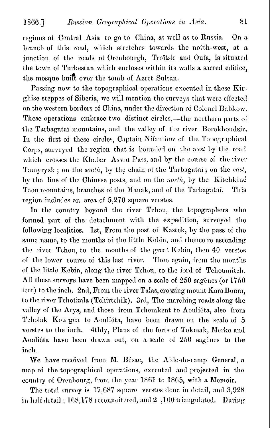regions of Central Asia to go to China, as well as to Russia. On a branch of this road, which stretches towards the north-west, at a junction of the roads of Orenbourgh, Troïtsk and Oufa, is situated the town of Turkestan which encloses within its walls a sacred edifice, the mosque built over the tomb of Azret Sultan.

Passing now to the topographical operations executed in these Kirghise steppes of Siberia, we will mention the surveys that were effected on the western borders of China, under the direction of Colonel Babkow. These operations embrace two distinct circles,—the northern parts of the Tarbagatai mountains, and the valley of the river Borokhoudzir. In the first of these circles, Captain Nilantiew of the Topographical Corps, surveyed the region that is bounded on the west by the road which crosses the Khabar Assou Pass, and by the course of the river Tamyrysk; on the south, by the chain of the Tarbagatai; on the cast, by the line of the Chinese posts, and on the north, by the Kitchkine Taou mountains, branches of the Manak, and of the Tarbagatai. This region includes an area of 5,270 square verstes.

In the country beyond the river Tchou, the topographers who formed part of the detachment with the expedition, surveyed the following localities. 1st, From the post of Kastek, by the pass of the same name, to the mouths of the little Kebin, and thence re-ascending the river Tchou, to the mouths of the great Kebin, then 40 verstes of the lower course of this last river. Then again, from the mouths of the little Kebin, along the river Tchou, to the ford of Tchoumitch. All these surveys have been mapped on a scale of 250 sagenes (or 1750 feet) to the inch. 2nd, From the river Talas, crossing mount Kara Boura, to the river Tchotkala (Tchirtchik). 3rd, The marching roads along the valley of the Arys, and those from Tchemkent to Aouliéta, also from Tcholak Kourgen to Aoulieta, have been drawn on the scale of 5 verstes to the inch. 4thly, Plans of the forts of Tokmak, Merke and Aouliéta have been drawn out, on a scale of 250 sagènes to the inch.

We have received from M. Bésac, the Aide-de-camp General, a map of the topographical operations, executed and projected in the country of Orenbourg, from the year 1861 to 1865, with a Memoir.

The total survey is 17,687 square verstes done in detail, and 3,928 in half detail; 168,178 reconnoitered, and 2 ',100 triangulated. During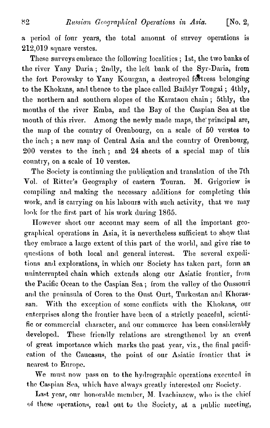a period of four years, the total amount of survey operations is  $212,019$  square verstes.

These surveys embrace the following localities; 1st, the two banks of the river Yany Daria; 2ndly, the left bank of the Syr-Daria, from the fort Perowsky to Yany Kourgan, a destroyed fortress belonging to the Khokans, and thence to the place called Baildyr Tougai; 4thly, the northern and southern slopes of the Karataou chain; 5thly, the mouths of the river Emba, and the Bay of the Caspian Sea at the mouth of this river. Among the newly made maps, the principal are, the map of the country of Orenbourg, on a scale of 50 verstes to the inch; a new map of Central Asia and the country of Orenbourg, 200 verstes to the inch; and 24 sheets of a special map of this country, on a scale of 10 verstes.

The Society is continuing the publication and translation of the 7th Vol. of Ritter's Geography of eastern Touran. M. Grigoriew is compiling and making the necessary additions for completing this work, and is carrying on his labours with such activity, that we may look for the first part of his work during 1865.

However short our account may seem of all the important gcographical operations in Asia, it is nevertheless sufficient to show that they embrace a large extent of this part of the world, and give rise to questions of both local and general interest. The several expeditions and explorations, in which our Society has taken part, form an uninterrupted chain which extends along our Asiatic frontier, from the Pacific Ocean to the Caspian Sea; from the valley of the Onssouri and the peninsula of Corea to the Oust Ourt, Turkestan and Khoras. san. With the exception of some conflicts with the Khokans, our enterprises along the frontier have been of a strictly peaceful, scientific or commercial character, and our commerce has been considerably developed. These friendly relations are strengthened by an event of great importance which marks the past year, viz., the final pacification of the Caucasus, the point of our Asiatic frontier that is nearest to Europe.

We must now pass on to the hydrographic operations executed in the Caspian Sea, which have always greatly interested our Society.

Last year, our honorable member, M. Ivachinzew, who is the chief of these operations, read out to the Society, at a public meeting,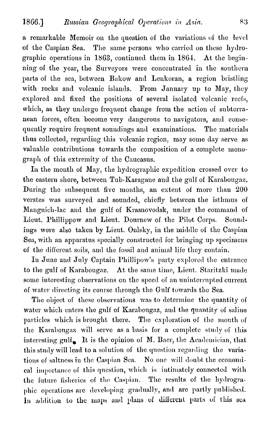a remarkable Memoir on the question of the variations of the level of the Caspian Sea. The same persons who carried on these hydrographic operations in 1863, continued them in 1864. At the beginning of the year, the Surveyors were concentrated in the southern parts of the sea, between Bakow and Lenkoran, a region bristling with rocks and volcanic islands. From January up to May, they explored and fixed the positions of several isolated volcanic reefs, which, as they undergo frequent change from the action of subterranean forces, often become very dangerous to navigators, and consequently require frequent soundings and examinations. The materials thus collected, regarding this volcanic region, may some day serve as valuable contributions towards the composition of a complete monograph of this extremity of the Caucasus.

In the month of May, the hydrographic expedition crossed over to the eastern shore, between Tub-Karagane and the gulf of Karabougaz. During the subsequent five months, an extent of more than 200 verstes was surveyed and sounded, chiefly between the isthmus of Manguich-lac and the gulf of Krasnovodsk, under the command of Lieut. Phillippow and Lieut. Dournew of the Pilot Corps. Soundings were also taken by Lieut. Onlsky, in the middle of the Caspian Sea, with an apparatus specially constructed for bringing up specimens of the different soils, and the fossil and animal life they contain.

In June and July Captain Phillipow's party explored the entrance to the gulf of Karabougaz. At the same time, Lieut. Staritzki made some interesting observations on the speed of an uninterrupted current of water directing its course through the Gulf towards the Sea.

The object of these observations was to determine the quantity of water which enters the gulf of Karabougaz, and the quantity of saline particles which is brought there. The exploration of the mouth of the Karabougaz will serve as a basis for a complete study of this interesting gulf. It is the opinion of M. Baer, the Academician, that this study will lead to a solution of the question regarding the variations of saltness in the Caspian Sea. No one will doubt the economical importance of this question, which is intimately connected with the future fisheries of the Caspian. The results of the hydrographic operations are developing gradually, and are partly published. In addition to the maps and plans of different parts of this sea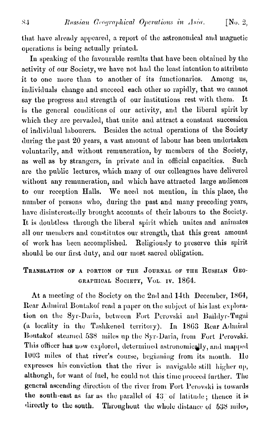that have already appeared, a report of the astronomical and magnetic operations is being actually printed.

In speaking of the favourable results that have been obtained by the activity of our Society, we have not had the least intention to attribute it to one more than to another of its functionaries. Among us, individuals change and succeed each other so rapidly, that we cannot say the progress and strength of our institutions rest with them. **It** is the general conditions of our activity, and the liberal spirit by which they are pervaded, that unite and attract a constant succession of individual labourers. Besides the actual operations of the Society during the past 20 years, a vast amount of labour has been undertaken voluntarily, and without remuneration, by members of the Society, as well as by strangers, in private and in official capacities. Such are the public lectures, which many of our colleagues have delivered without any remuneration, and which have attracted large audiences to our reception Halls. We need not mention, in this place, the number of persons who, during the past and many preceding years, have disinterestedly brought accounts of their labours to the Society. It is doubtless through the liberal spirit which unites and animates all our members and constitutes our strength, that this great amount of work has been accomplished. Religiously to preserve this spirit should be our first duty, and our most sacred obligation.

## TRANSLATION OF A PORTION OF THE JOURNAL OF THE RUSSIAN GEO-GRAPHICAL SOCIETY, VOL. IV. 1864.

At a meeting of the Society on the 2nd and 14th December, 1864, Rear Admiral Boutakof read a paper on the subject of his last exploration on the Syr-Daria, between Fort Perovski and Baildyr-Tugai (a locality in the Tashkened territory). In 1863 Rear Admiral Boutakof steamed 538 miles up the Syr-Daria, from Fort Perovski. This officer has now explored, determined astronomically, and mapped 1003 miles of that river's course, beginning from its mouth. He expresses his conviction that the river is navigable still higher up, although, for want of fuel, he could not this time proceed further. The general ascending direction of the river from Fort Perovski is towards the south-east as far as the parallel of 43° of latitude; thence it is directly to the south. Throughout the whole distance of 538 miles,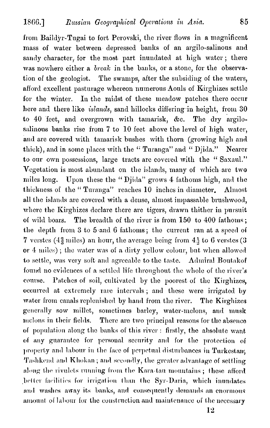from Baildyr-Tugai to fort Perovski, the river flows in a magnificent mass of water between depressed banks of an argilo-salinous and sandy character, for the most part inundated at high water; there was nowhere either a *break* in the banks, or a stone, for the observation of the geologist. The swamps, after the subsiding of the waters, afford excellent pasturage whereon numerous Aouls of Kirghizes settle for the winter. In the midst of these meadow patches there occur here and there like *islands*, sand hillocks differing in height, from 30 to 40 feet, and overgrown with tamarisk, &c. The dry argilosalinous banks rise from 7 to 10 feet above the level of high water, and are covered with tamarisk bushes with thorn (growing high and thick), and in some places with the "Turanga" and "Djida." Nearer to our own possessions, large tracts are covered with the "Saxaul." Vegetation is most abundant on the islands, many of which are two miles long. Upon these the "Djida" grows 4 fathoms high, and the thickness of the "Turanga" reaches 10 inches in diameter. Almost all the islands are covered with a dense, almost impassable brushwood, where the Kirghizes declare there are tigers, drawn thither in pursuit of wild boars. The breadth of the river is from 150 to 400 fathoms; the depth from 3 to 5 and 6 fathoms; the current ran at a speed of 7 verstes (4 $\frac{2}{3}$  miles) an hour, the average being from 4 $\frac{1}{3}$  to 6 verstes (3 or 4 miles); the water was of a dirty yellow colour, but when allowed to settle, was very soft and agreeable to the taste. Admiral Boutakof found no evidences of a settled life throughout the whole of the river's course. Patches of soil, cultivated by the poorest of the Kirghizes, occurred at extremely rare intervals; and these were irrigated by water from canals replenished by hand from the river. The Kirghizes generally sow millet, sometimes barley, water-melons, and musk melons in their fields. There are two principal reasons for the absence of population along the banks of this river : firstly, the absolute want of any guarantee for personal security and for the protection of property and labour in the face of perpetual disturbances in Turkestan. Tashkend and Khokan; and secondly, the greater advantage of settling along the rivulets running from the Kara-tau mountains; these afford better facilities for irrigation than the Syr-Daria, which inundates and washes away its banks, and consequently demands an enormous amount of labour for the construction and maintenance of the necessary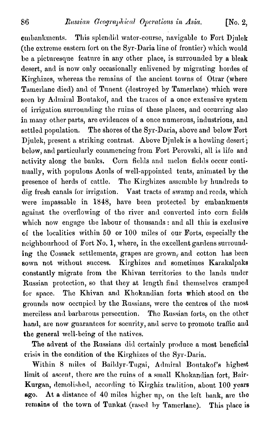embankments. This splendid water-course, navigable to Fort Djulek (the extreme eastern fort on the Syr-Daria line of frontier) which would be a picturesque feature in any other place, is surrounded by a bleak desert, and is now only occasionally enlivened by migrating hordes of Kirghizes, whereas the remains of the ancient towns of Otrar (where Tamerlane died) and of Tunent (destroyed by Tamerlane) which were seen by Admiral Boutakof, and the traces of a once extensive system of irrigation surrounding the ruins of these places, and occurring also in many other parts, are evidences of a once numerous, industrious, and settled population. The shores of the Syr-Daria, above and below Fort Djulek, present a striking contrast. Above Djulek is a howling desert; below, and particularly commencing from Fort Perovski, all is life and activity along the banks. Corn fields and melon fields occur continually, with populous Aouls of well-appointed tents, animated by the presence of herds of cattle. The Kirghizes assemble by hundreds to dig fresh canals for irrigation. Vast tracts of swamp and reeds, which were impassable in 1848, have been protected by embankments against the overflowing of the river and converted into corn fields which now engage the labour of thousands : and all this is exclusive of the localities within 50 or 100 miles of our Forts, especially the neighbourhood of Fort No. 1, where, in the excellent gardens surrounding the Cossack settlements, grapes are grown, and cotton has been sown not without success. Kirghizes and sometimes Karakalpaks constantly migrate from the Khivan territories to the lands under Russian protection, so that they at length find themselves cramped for space. The Khivan and Khokandian forts which stood on the grounds now occupied by the Russians, were the centres of the most merciless and barbarous persecution. The Russian forts, on the other hand, are now guarantees for security, and serve to promote traffic and the general well-being of the natives.

The advent of the Russians did certainly produce a most beneficial crisis in the condition of the Kirghizes of the Syr-Daria.

Within 8 miles of Baildyr-Tugai, Admiral Boutakof's highest limit of ascent, there are the ruins of a small Khokandian fort, Bair-Kurgan, demolished, according to Kirghiz tradition, about 100 years At a distance of 40 miles higher up, on the left bank, are the ago. remains of the town of Tunkat (rased by Tamerlane). This place is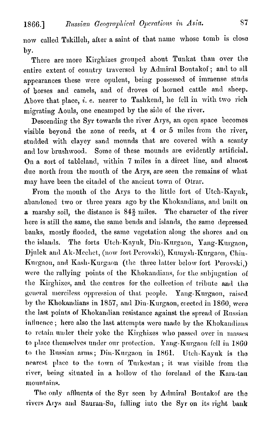now called Tskilleh, after a saint of that name whose tomb is close by.

There are more Kirghizes grouped about Tunkat than over the entire extent of country traversed by Admiral Boutakof; and to all appearances these were opulent, being possessed of immense studs of horses and camels, and of droves of horned cattle and sheep. Above that place, i. e. nearer to Tashkend, he fell in with two rich migrating Aouls, one encamped by the side of the river.

Descending the Syr towards the river Arys, an open space becomes visible beyond the zone of reeds, at 4 or 5 miles from the river. studded with clayey sand mounds that are covered with a scanty Some of these mounds are evidently artificial. and low brushwood. On a sort of tableland, within 7 miles in a direct line, and almost due north from the mouth of the Arys, are seen the remains of what may have been the citadel of the ancient town of Otrar.

From the mouth of the Arys to the little fort of Utch-Kayuk, abandoned two or three years ago by the Khokandians, and built on a marshy soil, the distance is  $84\frac{2}{3}$  miles. The character of the river here is still the same, the same bends and islands, the same depressed banks, mostly flooded, the same vegetation along the shores and on the islands. The forts Utch-Kayuk, Din-Kurgaon, Yang-Kurgaon, Djulek and Ak-Mechet, (now fort Perovski), Kumysh-Kurgaon, Chin-Kurgaon, and Kash-Kurgaon (the three latter below fort Perovski,) were the rallying points of the Khokandians, for the subjugation of the Kirghizes, and the centres for the collection of tribute and the general merciless oppression of that people. Yang-Kurgaon, raised by the Khokandians in 1857, and Din-Kurgaon, erected in 1860, were the last points of Khokandian resistance against the spread of Russian influence; here also the last attempts were made by the Khokandians to retain under their yoke the Kirghizes who passed over in masses to place themselves under our protection. Yang-Kurgaon fell in 1860 to the Russian arms; Din-Kurgaon in 1861. Utch-Kayuk is the nearest place to the town of Turkestan; it was visible from the river, being situated in a hollow of the foreland of the Kara-tau mountains.

The only affluents of the Syr seen by Admiral Boutakof are the rivers Arys and Sauran-Su, falling into the Syr on its right bank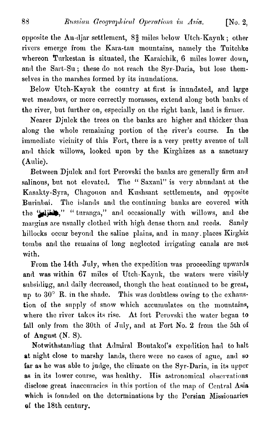opposite the An-djar settlement,  $8\frac{2}{3}$  miles below Utch-Kayuk; other rivers emerge from the Kara-tau mountains, namely the Tuitchke whereon Turkestan is situated, the Karaichik, 6 miles lower down, and the Sart-Su; these do not reach the Syr-Daria, but lose themselves in the marshes formed by its inundations.

Below Utch-Kayuk the country at first is inundated, and large wet meadows, or more correctly morasses, extend along both banks of the river, but further on, especially on the right bank, land is firmer.

Nearer Djulek the trees on the banks are higher and thicker than along the whole remaining portion of the river's course. In the immediate vicinity of this Fort, there is a very pretty avenue of tall and thick willows, looked upon by the Kirghizes as a sanctuary (Aulie).

Between Djulek and fort Perovski the banks are generally firm and salinous, but not elevated. The "Saxaul" is very abundant at the Kasakty-Syra, Chagouon and Kushsant settlements, and opposite The islands and the continuing banks are covered with Burinbai. the "dist," "turanga," and occasionally with willows, and the margins are usually clothed with high dense thorn and reeds. Sandy hillocks occur beyond the saline plains, and in many places Kirghiz tombs and the remains of long neglected irrigating canals are met with.

From the 14th July, when the expedition was proceeding upwards and was within 67 miles of Utch-Kayuk, the waters were visibly subsiding, and daily decreased, though the heat continued to be great, up to 30° R. in the shade. This was doubtless owing to the exhaustion of the supply of snow which accumulates on the mountains, where the river takes its rise. At fort Perovski the water began to fall only from the 30th of July, and at Fort No. 2 from the 5th of of August  $(N, S)$ .

Notwithstanding that Admiral Boutakof's expedition had to halt at night close to marshy lands, there were no cases of ague, and so far as he was able to judge, the climate on the Syr-Daria, in its upper as in its lower course, was healthy. His astronomical observations disclose great inaccuracies in this portion of the map of Central Asia which is founded on the determinations by the Persian Missionaries of the 18th century.